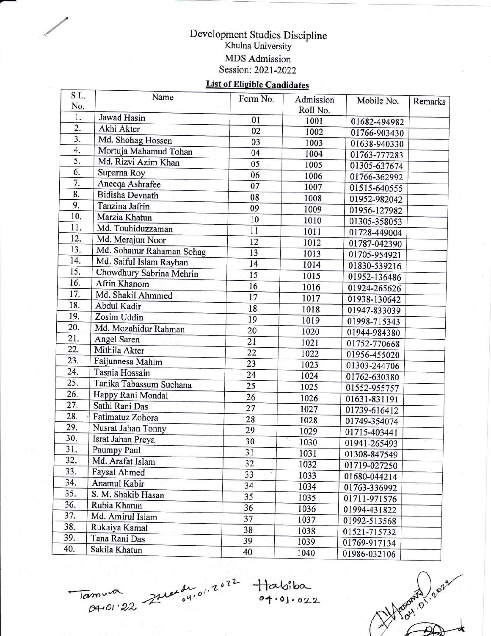## Development Studies Discipline Khulna University MDS Admission Session: 2021-2022

## **List of Eligible Candidates**

| S.L.<br>No.      | Name                      | Form No. | Admission<br>Roll No. | Mobile No.   | Remarks |
|------------------|---------------------------|----------|-----------------------|--------------|---------|
| 1.               | Jawad Hasin               | 01       | 1001                  | 01682-494982 |         |
| $\overline{2}$ . | Akhi Akter                | 02       | 1002                  | 01766-903430 |         |
| 3.               | Md. Shohag Hossen         | 03       | 1003                  | 01638-940330 |         |
| 4.               | Mortuja Mahamud Tohan     | 04       | 1004                  | 01763-777283 |         |
| 5.               | Md. Rizvi Azim Khan       | 05       | 1005                  | 01305-637674 |         |
| 6.               | Suparna Roy               | 06       | 1006                  | 01766-362992 |         |
| 7.               | Aneeqa Ashrafee           | 07       | 1007                  | 01515-640555 |         |
| 8.               | <b>Bidisha Devnath</b>    | 08       | 1008                  | 01952-982042 |         |
| 9.               | Tanzina Jafrin            | 09       | 1009                  | 01956-127982 |         |
| 10.              | Marzia Khatun             | 10       | 1010                  | 01305-358053 |         |
| 11.              | Md. Touhiduzzaman         | 11       | 1011                  | 01728-449004 |         |
| 12.              | Md. Merajun Noor          | 12       | 1012                  | 01787-042390 |         |
| 13.              | Md. Sohanur Rahaman Sohag | 13       | 1013                  | 01705-954921 |         |
| 14.              | Md. Saiful Islam Rayhan   | 14       | 1014                  | 01830-539216 |         |
| 15.              | Chowdhury Sabrina Mehrin  | 15       | 1015                  | 01952-136486 |         |
| 16.              | Afrin Khanom              | 16       | 1016                  | 01924-265626 |         |
| 17.              | Md. Shakil Ahmmed         | 17       | 1017                  | 01938-130642 |         |
| 18.              | Abdul Kadir               | 18       | 1018                  | 01947-833039 |         |
| 19.              | Zosim Uddin               | 19       | 1019                  | 01998-715343 |         |
| 20.              | Md. Mozahidur Rahman      | 20       | 1020                  | 01944-984380 |         |
| 21.              | Angel Saren               | 21       | 1021                  | 01752-770668 |         |
| 22.              | Mithila Akter             | 22       | 1022                  | 01956-455020 |         |
| 23.              | Faijunnesa Mahim          | 23       | 1023                  | 01303-244706 |         |
| 24.              | Tasnia Hossain            | 24       | 1024                  | 01762-630380 |         |
| 25.              | Tanika Tabassum Suchana   | 25       | 1025                  | 01552-955757 |         |
| 26.              | Happy Rani Mondal         | 26       | 1026                  | 01631-831191 |         |
| 27.              | Sathi Rani Das            | 27       | 1027                  | 01739-616412 |         |
| 28.              | Fatimatuz Zohora          | 28       | 1028                  | 01749-354074 |         |
| 29.              | Nusrat Jahan Tonny        | 29       | 1029                  | 01715-403441 |         |
| 30.              | Israt Jahan Preya         | 30       | 1030                  | 01941-265493 |         |
| 31.              | Paumpy Paul               | 31       | 1031                  | 01308-847549 |         |
| 32.              | Md. Arafat Islam          | 32       | 1032                  | 01719-027250 |         |
| 33.              | Faysal Ahmed              | 33       | 1033                  | 01680-044214 |         |
| 34.              | Anamul Kabir              | 34       | 1034                  | 01763-336992 |         |
| 35.              | S. M. Shakib Hasan        | 35       | 1035                  | 01711-971576 |         |
| 36.              | Rubia Khatun              | 36       | 1036                  | 01994-431822 |         |
| 37.              | Md. Amirul Islam          | 37       | 1037                  | 01992-513568 |         |
| 38.              | Rukaiya Kamal             | 38       | 1038                  | 01521-715732 |         |
| 39.              | Tana Rani Das             | 39       | 1039                  | 01769-917134 |         |
| 40.              | Sakila Khatun             | 40       | 1040                  | 01986-032106 |         |

 $\sqrt{a}$ muna 6q,Ot'2L

\*

 $\overline{\mathcal{L}}$  $\mu_{\text{out}}$   $2^{n}$ 

,/

 $\frac{1}{2}$   $\frac{1}{2}$   $\frac{1}{2}$   $\frac{1}{2}$   $\frac{1}{2}$   $\frac{1}{2}$   $\frac{1}{2}$   $\frac{1}{2}$ 

 $\circ$  $\gamma^{5}$